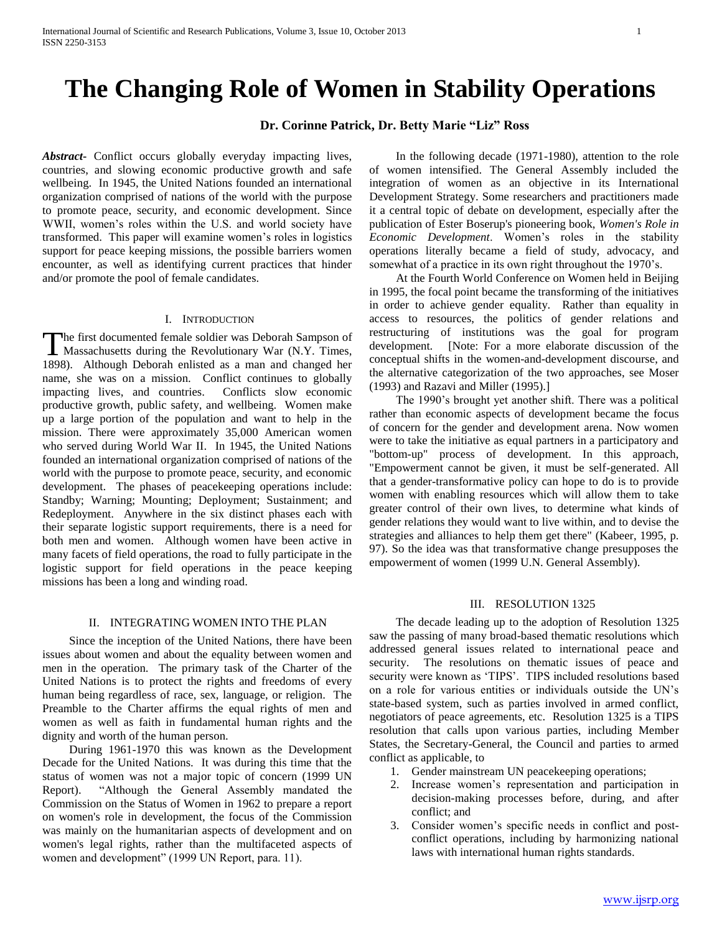# **The Changing Role of Women in Stability Operations**

# **Dr. Corinne Patrick, Dr. Betty Marie "Liz" Ross**

*Abstract***-** Conflict occurs globally everyday impacting lives, countries, and slowing economic productive growth and safe wellbeing. In 1945, the United Nations founded an international organization comprised of nations of the world with the purpose to promote peace, security, and economic development. Since WWII, women's roles within the U.S. and world society have transformed. This paper will examine women's roles in logistics support for peace keeping missions, the possible barriers women encounter, as well as identifying current practices that hinder and/or promote the pool of female candidates.

#### I. INTRODUCTION

he first documented female soldier was Deborah Sampson of The first documented female soldier was Deborah Sampson of<br>Massachusetts during the Revolutionary War (N.Y. Times, 1898). Although Deborah enlisted as a man and changed her name, she was on a mission. Conflict continues to globally impacting lives, and countries. Conflicts slow economic productive growth, public safety, and wellbeing. Women make up a large portion of the population and want to help in the mission. There were approximately 35,000 American women who served during World War II. In 1945, the United Nations founded an international organization comprised of nations of the world with the purpose to promote peace, security, and economic development. The phases of peacekeeping operations include: Standby; Warning; Mounting; Deployment; Sustainment; and Redeployment. Anywhere in the six distinct phases each with their separate logistic support requirements, there is a need for both men and women. Although women have been active in many facets of field operations, the road to fully participate in the logistic support for field operations in the peace keeping missions has been a long and winding road.

### II. INTEGRATING WOMEN INTO THE PLAN

 Since the inception of the United Nations, there have been issues about women and about the equality between women and men in the operation. The primary task of the Charter of the United Nations is to protect the rights and freedoms of every human being regardless of race, sex, language, or religion. The Preamble to the Charter affirms the equal rights of men and women as well as faith in fundamental human rights and the dignity and worth of the human person.

 During 1961-1970 this was known as the Development Decade for the United Nations. It was during this time that the status of women was not a major topic of concern (1999 UN Report). "Although the General Assembly mandated the Commission on the Status of Women in 1962 to prepare a report on women's role in development, the focus of the Commission was mainly on the humanitarian aspects of development and on women's legal rights, rather than the multifaceted aspects of women and development" (1999 UN Report, para. 11).

 In the following decade (1971-1980), attention to the role of women intensified. The General Assembly included the integration of women as an objective in its International Development Strategy. Some researchers and practitioners made it a central topic of debate on development, especially after the publication of Ester Boserup's pioneering book, *Women's Role in Economic Development*. Women's roles in the stability operations literally became a field of study, advocacy, and somewhat of a practice in its own right throughout the 1970's.

 At the Fourth World Conference on Women held in Beijing in 1995, the focal point became the transforming of the initiatives in order to achieve gender equality. Rather than equality in access to resources, the politics of gender relations and restructuring of institutions was the goal for program development. [Note: For a more elaborate discussion of the conceptual shifts in the women-and-development discourse, and the alternative categorization of the two approaches, see Moser (1993) and Razavi and Miller (1995).]

 The 1990's brought yet another shift. There was a political rather than economic aspects of development became the focus of concern for the gender and development arena. Now women were to take the initiative as equal partners in a participatory and "bottom-up" process of development. In this approach, "Empowerment cannot be given, it must be self-generated. All that a gender-transformative policy can hope to do is to provide women with enabling resources which will allow them to take greater control of their own lives, to determine what kinds of gender relations they would want to live within, and to devise the strategies and alliances to help them get there" (Kabeer, 1995, p. 97). So the idea was that transformative change presupposes the empowerment of women (1999 U.N. General Assembly).

#### III. RESOLUTION 1325

 The decade leading up to the adoption of Resolution 1325 saw the passing of many broad-based thematic resolutions which addressed general issues related to international peace and security. The resolutions on thematic issues of peace and security were known as 'TIPS'. TIPS included resolutions based on a role for various entities or individuals outside the UN's state-based system, such as parties involved in armed conflict, negotiators of peace agreements, etc. Resolution 1325 is a TIPS resolution that calls upon various parties, including Member States, the Secretary-General, the Council and parties to armed conflict as applicable, to

- 1. Gender mainstream UN peacekeeping operations;
- 2. Increase women's representation and participation in decision-making processes before, during, and after conflict; and
- 3. Consider women's specific needs in conflict and postconflict operations, including by harmonizing national laws with international human rights standards.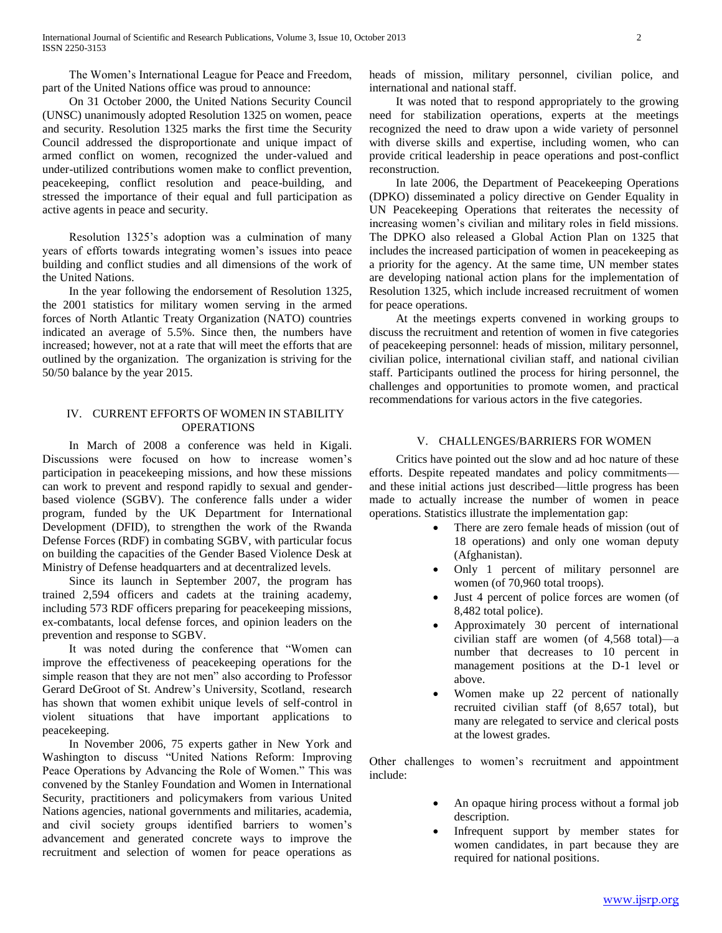The Women's International League for Peace and Freedom, part of the United Nations office was proud to announce:

 On 31 October 2000, the United Nations Security Council (UNSC) unanimously adopted Resolution 1325 on women, peace and security. Resolution 1325 marks the first time the Security Council addressed the disproportionate and unique impact of armed conflict on women, recognized the under-valued and under-utilized contributions women make to conflict prevention, peacekeeping, conflict resolution and peace-building, and stressed the importance of their equal and full participation as active agents in peace and security.

 Resolution 1325's adoption was a culmination of many years of efforts towards integrating women's issues into peace building and conflict studies and all dimensions of the work of the United Nations.

 In the year following the endorsement of Resolution 1325, the 2001 statistics for military women serving in the armed forces of North Atlantic Treaty Organization (NATO) countries indicated an average of 5.5%. Since then, the numbers have increased; however, not at a rate that will meet the efforts that are outlined by the organization. The organization is striving for the 50/50 balance by the year 2015.

### IV. CURRENT EFFORTS OF WOMEN IN STABILITY **OPERATIONS**

 In March of 2008 a conference was held in Kigali. Discussions were focused on how to increase women's participation in peacekeeping missions, and how these missions can work to prevent and respond rapidly to sexual and genderbased violence (SGBV). The conference falls under a wider program, funded by the UK Department for International Development (DFID), to strengthen the work of the Rwanda Defense Forces (RDF) in combating SGBV, with particular focus on building the capacities of the Gender Based Violence Desk at Ministry of Defense headquarters and at decentralized levels.

 Since its launch in September 2007, the program has trained 2,594 officers and cadets at the training academy, including 573 RDF officers preparing for peacekeeping missions, ex-combatants, local defense forces, and opinion leaders on the prevention and response to SGBV.

It was noted during the conference that "Women can improve the effectiveness of peacekeeping operations for the simple reason that they are not men" also according to Professor Gerard DeGroot of St. Andrew's University, Scotland, research has shown that women exhibit unique levels of self-control in violent situations that have important applications to peacekeeping.

 In November 2006, 75 experts gather in New York and Washington to discuss "United Nations Reform: Improving Peace Operations by Advancing the Role of Women." This was convened by the Stanley Foundation and Women in International Security, practitioners and policymakers from various United Nations agencies, national governments and militaries, academia, and civil society groups identified barriers to women's advancement and generated concrete ways to improve the recruitment and selection of women for peace operations as heads of mission, military personnel, civilian police, and international and national staff.

 It was noted that to respond appropriately to the growing need for stabilization operations, experts at the meetings recognized the need to draw upon a wide variety of personnel with diverse skills and expertise, including women, who can provide critical leadership in peace operations and post-conflict reconstruction.

 In late 2006, the Department of Peacekeeping Operations (DPKO) disseminated a policy directive on Gender Equality in UN Peacekeeping Operations that reiterates the necessity of increasing women's civilian and military roles in field missions. The DPKO also released a Global Action Plan on 1325 that includes the increased participation of women in peacekeeping as a priority for the agency. At the same time, UN member states are developing national action plans for the implementation of Resolution 1325, which include increased recruitment of women for peace operations.

 At the meetings experts convened in working groups to discuss the recruitment and retention of women in five categories of peacekeeping personnel: heads of mission, military personnel, civilian police, international civilian staff, and national civilian staff. Participants outlined the process for hiring personnel, the challenges and opportunities to promote women, and practical recommendations for various actors in the five categories.

#### V. CHALLENGES/BARRIERS FOR WOMEN

 Critics have pointed out the slow and ad hoc nature of these efforts. Despite repeated mandates and policy commitments and these initial actions just described—little progress has been made to actually increase the number of women in peace operations. Statistics illustrate the implementation gap:

- There are zero female heads of mission (out of 18 operations) and only one woman deputy (Afghanistan).
- Only 1 percent of military personnel are women (of 70,960 total troops).
- Just 4 percent of police forces are women (of 8,482 total police).
- Approximately 30 percent of international civilian staff are women (of 4,568 total)—a number that decreases to 10 percent in management positions at the D-1 level or above.
- Women make up 22 percent of nationally recruited civilian staff (of 8,657 total), but many are relegated to service and clerical posts at the lowest grades.

Other challenges to women's recruitment and appointment include:

- An opaque hiring process without a formal job description.
- Infrequent support by member states for women candidates, in part because they are required for national positions.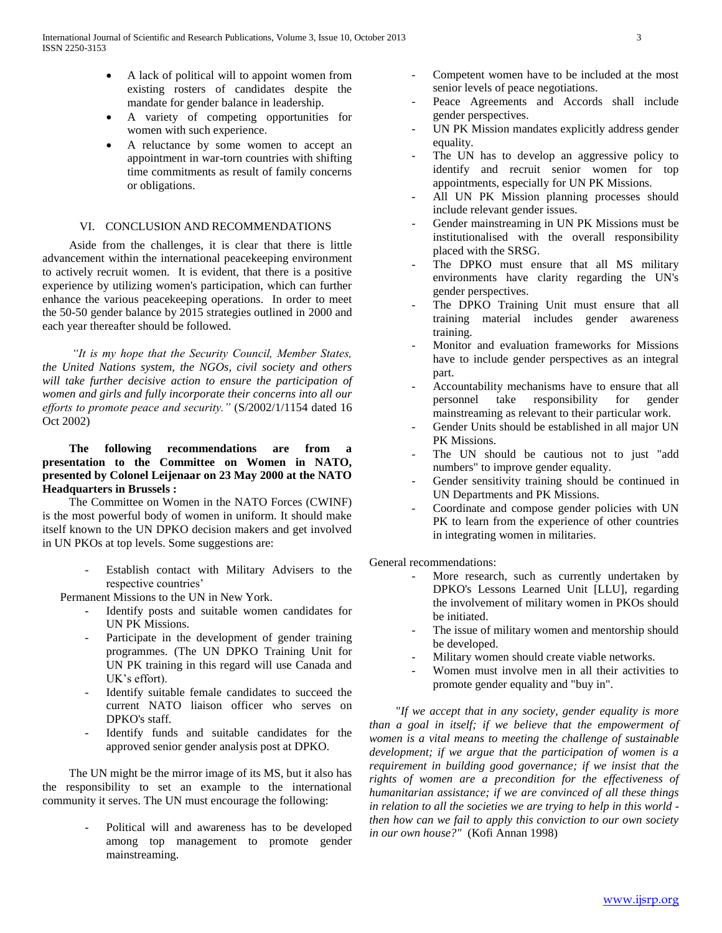- A lack of political will to appoint women from existing rosters of candidates despite the mandate for gender balance in leadership.
- A variety of competing opportunities for women with such experience.
- A reluctance by some women to accept an appointment in war-torn countries with shifting time commitments as result of family concerns or obligations.

# VI. CONCLUSION AND RECOMMENDATIONS

 Aside from the challenges, it is clear that there is little advancement within the international peacekeeping environment to actively recruit women. It is evident, that there is a positive experience by utilizing women's participation, which can further enhance the various peacekeeping operations. In order to meet the 50-50 gender balance by 2015 strategies outlined in 2000 and each year thereafter should be followed.

 *"It is my hope that the Security Council, Member States, the United Nations system, the NGOs, civil society and others will take further decisive action to ensure the participation of women and girls and fully incorporate their concerns into all our efforts to promote peace and security."* (S/2002/1/1154 dated 16 Oct 2002)

## **The following recommendations are from a presentation to the Committee on Women in NATO, presented by Colonel Leijenaar on 23 May 2000 at the NATO Headquarters in Brussels :**

 The Committee on Women in the NATO Forces (CWINF) is the most powerful body of women in uniform. It should make itself known to the UN DPKO decision makers and get involved in UN PKOs at top levels. Some suggestions are:

> Establish contact with Military Advisers to the respective countries'

Permanent Missions to the UN in New York.

- Identify posts and suitable women candidates for UN PK Missions.
- Participate in the development of gender training programmes. (The UN DPKO Training Unit for UN PK training in this regard will use Canada and UK's effort).
- Identify suitable female candidates to succeed the current NATO liaison officer who serves on DPKO's staff.
- Identify funds and suitable candidates for the approved senior gender analysis post at DPKO.

 The UN might be the mirror image of its MS, but it also has the responsibility to set an example to the international community it serves. The UN must encourage the following:

> Political will and awareness has to be developed among top management to promote gender mainstreaming.

- Competent women have to be included at the most senior levels of peace negotiations.
- Peace Agreements and Accords shall include gender perspectives.
- UN PK Mission mandates explicitly address gender equality.
- The UN has to develop an aggressive policy to identify and recruit senior women for top appointments, especially for UN PK Missions.
- All UN PK Mission planning processes should include relevant gender issues.
- Gender mainstreaming in UN PK Missions must be institutionalised with the overall responsibility placed with the SRSG.
- The DPKO must ensure that all MS military environments have clarity regarding the UN's gender perspectives.
- The DPKO Training Unit must ensure that all training material includes gender awareness training.
- Monitor and evaluation frameworks for Missions have to include gender perspectives as an integral part.
- Accountability mechanisms have to ensure that all personnel take responsibility for gender mainstreaming as relevant to their particular work.
- Gender Units should be established in all major UN PK Missions.
- The UN should be cautious not to just "add numbers" to improve gender equality.
- Gender sensitivity training should be continued in UN Departments and PK Missions.
- Coordinate and compose gender policies with UN PK to learn from the experience of other countries in integrating women in militaries.

General recommendations:

- More research, such as currently undertaken by DPKO's Lessons Learned Unit [LLU], regarding the involvement of military women in PKOs should be initiated.
- The issue of military women and mentorship should be developed.
- Military women should create viable networks.
- Women must involve men in all their activities to promote gender equality and "buy in".

 "*If we accept that in any society, gender equality is more than a goal in itself; if we believe that the empowerment of women is a vital means to meeting the challenge of sustainable development; if we argue that the participation of women is a requirement in building good governance; if we insist that the rights of women are a precondition for the effectiveness of humanitarian assistance; if we are convinced of all these things in relation to all the societies we are trying to help in this world then how can we fail to apply this conviction to our own society in our own house?"* (Kofi Annan 1998)